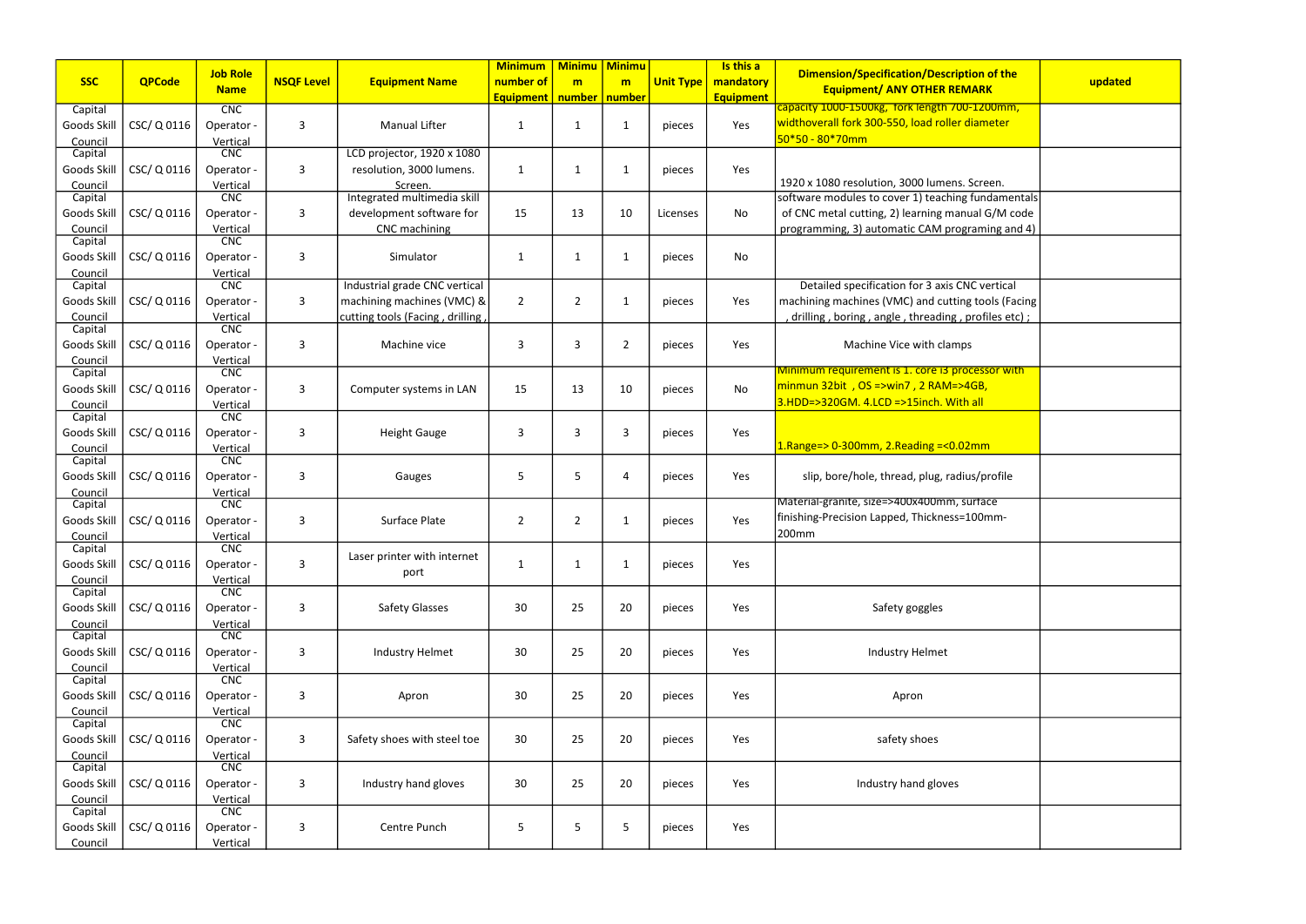|                        |               | <b>Job Role</b>        |                   |                                 | <b>Minimum</b>   | <b>Minimu   Minimu</b> |    |                  | Is this a        | <b>Dimension/Specification/Description of the</b>  |         |
|------------------------|---------------|------------------------|-------------------|---------------------------------|------------------|------------------------|----|------------------|------------------|----------------------------------------------------|---------|
| <b>SSC</b>             | <b>QPCode</b> | <b>Name</b>            | <b>NSQF Level</b> | <b>Equipment Name</b>           | number of        | m                      | m  | <b>Unit Type</b> | mandatory        | <b>Equipment/ ANY OTHER REMARK</b>                 | updated |
|                        |               | <b>CNC</b>             |                   |                                 | <b>Equipment</b> | number   number        |    |                  | <b>Equipment</b> | capacity 1000-1500kg, fork length 700-1200mm,      |         |
| Capital<br>Goods Skill | CSC/ Q 0116   | Operator -             | $\overline{3}$    | <b>Manual Lifter</b>            | 1                | $\mathbf{1}$           | 1  | pieces           | Yes              | widthoverall fork 300-550, load roller diameter    |         |
| Council                |               | Vertical               |                   |                                 |                  |                        |    |                  |                  | $50*50 - 80*70mm$                                  |         |
| Capital                |               | CNC                    |                   | LCD projector, 1920 x 1080      |                  |                        |    |                  |                  |                                                    |         |
| Goods Skill            | CSC/ Q 0116   | Operator -             | $\overline{3}$    | resolution, 3000 lumens.        | 1                | $\mathbf{1}$           | -1 | pieces           | Yes              |                                                    |         |
| Council                |               | Vertical               |                   | Screen.                         |                  |                        |    |                  |                  | 1920 x 1080 resolution, 3000 lumens. Screen.       |         |
| Capital                |               | CNC                    |                   | Integrated multimedia skill     |                  |                        |    |                  |                  | software modules to cover 1) teaching fundamentals |         |
| Goods Skill            | CSC/ Q 0116   | Operator -             | 3                 | development software for        | 15               | 13                     | 10 | Licenses         | No               | of CNC metal cutting, 2) learning manual G/M code  |         |
| Council                |               | Vertical               |                   | <b>CNC</b> machining            |                  |                        |    |                  |                  | programming, 3) automatic CAM programing and 4)    |         |
| Capital                |               | CNC                    |                   |                                 |                  |                        |    |                  |                  |                                                    |         |
| Goods Skill            | CSC/ Q 0116   | Operator -             | 3                 | Simulator                       | 1                | $\mathbf{1}$           | 1  | pieces           | No               |                                                    |         |
| Council                |               | Vertical               |                   |                                 |                  |                        |    |                  |                  |                                                    |         |
| Capital                |               | CNC                    |                   | Industrial grade CNC vertical   |                  |                        |    |                  |                  | Detailed specification for 3 axis CNC vertical     |         |
| Goods Skill            | CSC/ Q 0116   | Operator -             | 3                 | machining machines (VMC) &      | $\overline{2}$   | $\overline{2}$         | -1 | pieces           | Yes              | machining machines (VMC) and cutting tools (Facing |         |
| Council                |               | Vertical               |                   | cutting tools (Facing, drilling |                  |                        |    |                  |                  | drilling, boring, angle, threading, profiles etc); |         |
| Capital                |               | <b>CNC</b>             |                   |                                 |                  |                        |    |                  |                  |                                                    |         |
| Goods Skill            | CSC/ Q 0116   | Operator -             | $\overline{3}$    | Machine vice                    | 3                | 3                      | 2  | pieces           | Yes              | Machine Vice with clamps                           |         |
| Council<br>Capital     |               | Vertical<br>CNC        |                   |                                 |                  |                        |    |                  |                  | Minimum requirement is 1. core i3 processor with   |         |
| Goods Skil             | CSC/ Q 0116   | Operator -             | 3                 | Computer systems in LAN         | 15               | 13                     | 10 | pieces           | No               | minmun 32bit, OS =>win7, 2 RAM=>4GB,               |         |
| Council                |               | Vertical               |                   |                                 |                  |                        |    |                  |                  | 3.HDD=>320GM. 4.LCD =>15inch. With all             |         |
| Capital                |               | <b>CNC</b>             |                   |                                 |                  |                        |    |                  |                  |                                                    |         |
| Goods Skill            | CSC/ Q 0116   | Operator -             | 3                 | <b>Height Gauge</b>             | 3                | 3                      | 3  | pieces           | Yes              |                                                    |         |
| Council                |               | Vertical               |                   |                                 |                  |                        |    |                  |                  | $1.Range \geq 0.300mm$ , 2.Reading = < 0.02mm      |         |
| Capital                |               | CNC                    |                   |                                 |                  |                        |    |                  |                  |                                                    |         |
| Goods Skill            | CSC/ Q 0116   | Operator -             | $\overline{3}$    | Gauges                          | 5                | 5                      | Δ  | pieces           | Yes              | slip, bore/hole, thread, plug, radius/profile      |         |
| Council                |               | Vertical               |                   |                                 |                  |                        |    |                  |                  |                                                    |         |
| Capital                |               | CNC                    |                   |                                 |                  |                        |    |                  |                  | Material-granite, size=>400x400mm, surface         |         |
| Goods Skil             | CSC/ Q 0116   | Operator -             | $\overline{3}$    | Surface Plate                   | $\overline{2}$   | $\overline{2}$         | 1  | pieces           | Yes              | finishing-Precision Lapped, Thickness=100mm-       |         |
| Council                |               | Vertical               |                   |                                 |                  |                        |    |                  |                  | 200mm                                              |         |
| Capital                |               | <b>CNC</b>             |                   | Laser printer with internet     |                  |                        |    |                  |                  |                                                    |         |
| Goods Skill            | CSC/ Q 0116   | Operator -             | 3                 | port                            | 1                | $\mathbf{1}$           | 1  | pieces           | Yes              |                                                    |         |
| Council<br>Capital     |               | Vertical<br><b>CNC</b> |                   |                                 |                  |                        |    |                  |                  |                                                    |         |
| Goods Skill            | CSC/ Q 0116   | Operator -             | 3                 | <b>Safety Glasses</b>           | 30               | 25                     | 20 | pieces           | Yes              | Safety goggles                                     |         |
|                        |               |                        |                   |                                 |                  |                        |    |                  |                  |                                                    |         |
| Council<br>Capital     |               | Vertical<br><b>CNC</b> |                   |                                 |                  |                        |    |                  |                  |                                                    |         |
| Goods Skill            | CSC/ Q 0116   | Operator -             | 3                 | Industry Helmet                 | 30               | 25                     | 20 | pieces           | Yes              | <b>Industry Helmet</b>                             |         |
| Council                |               | Vertical               |                   |                                 |                  |                        |    |                  |                  |                                                    |         |
| Capital                |               | <b>CNC</b>             |                   |                                 |                  |                        |    |                  |                  |                                                    |         |
| Goods Skill            | CSC/ Q 0116   | Operator -             | 3                 | Apron                           | 30               | 25                     | 20 | pieces           | Yes              | Apron                                              |         |
| Council                |               | Vertical               |                   |                                 |                  |                        |    |                  |                  |                                                    |         |
| Capital                |               | <b>CNC</b>             |                   |                                 |                  |                        |    |                  |                  |                                                    |         |
| Goods Skill            | CSC/ Q 0116   | Operator -             | $\overline{3}$    | Safety shoes with steel toe     | 30               | 25                     | 20 | pieces           | Yes              | safety shoes                                       |         |
| Council                |               | Vertical               |                   |                                 |                  |                        |    |                  |                  |                                                    |         |
| Capital                |               | <b>CNC</b>             |                   |                                 |                  |                        |    |                  |                  |                                                    |         |
| Goods Skill            | CSC/ Q 0116   | Operator -             | 3                 | Industry hand gloves            | 30               | 25                     | 20 | pieces           | Yes              | Industry hand gloves                               |         |
| Council                |               | Vertical<br>CNC        |                   |                                 |                  |                        |    |                  |                  |                                                    |         |
| Capital                |               |                        |                   | Centre Punch                    |                  |                        |    |                  |                  |                                                    |         |
| Goods Skill            | CSC/ Q 0116   | Operator -             | 3                 |                                 | 5                | 5                      | -5 | pieces           | Yes              |                                                    |         |
| Council                |               | Vertical               |                   |                                 |                  |                        |    |                  |                  |                                                    |         |

| cation/Description of the<br><b>INY OTHER REMARK</b>                                           | updated |
|------------------------------------------------------------------------------------------------|---------|
| tork length 700-1200mm,<br>50, load roller diameter                                            |         |
|                                                                                                |         |
| i, 3000 lumens. Screen.<br>over 1) teaching fundamentals                                       |         |
| 2) learning manual G/M code<br>natic CAM programing and 4)                                     |         |
|                                                                                                |         |
| ion for 3 axis CNC vertical<br>MC) and cutting tools (Facing<br>(le, threading, profiles etc); |         |
| Vice with clamps                                                                               |         |
| is 1. core i3 processor with<br>vin7, 2 RAM=>4GB,                                              |         |
| =>15inch. With all                                                                             |         |
| Reading = < 0.02mm                                                                             |         |
| read, plug, radius/profile                                                                     |         |
| 5400x400mm, surface<br>ed, Thickness=100mm-                                                    |         |
|                                                                                                |         |
| ety goggles                                                                                    |         |
| stry Helmet                                                                                    |         |
| Apron                                                                                          |         |
| ety shoes                                                                                      |         |
| y hand gloves                                                                                  |         |
|                                                                                                |         |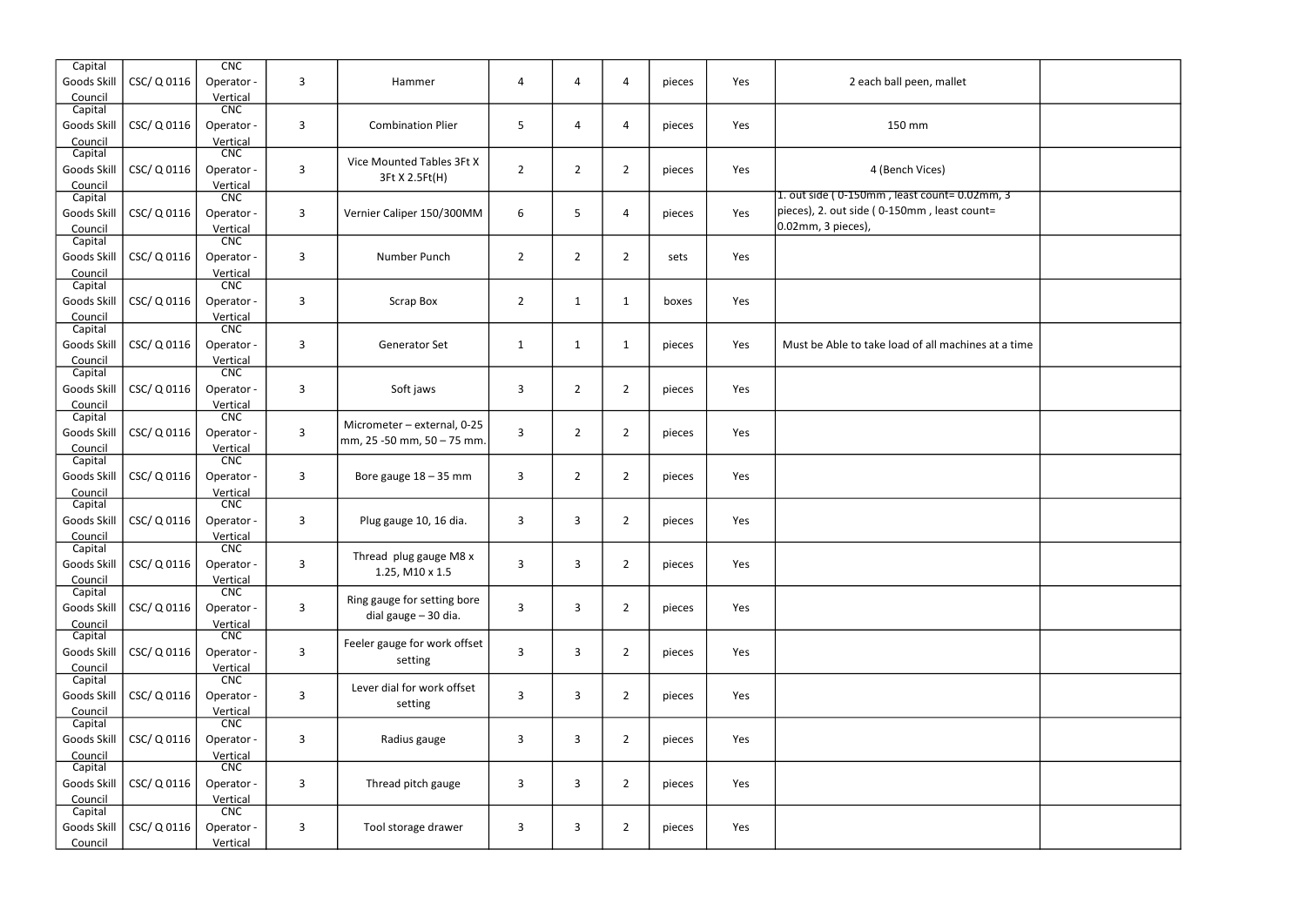| Capital                |             | CNC                    |              |                              |                |                |                |        |     |                                                     |  |
|------------------------|-------------|------------------------|--------------|------------------------------|----------------|----------------|----------------|--------|-----|-----------------------------------------------------|--|
| Goods Skill<br>Council | CSC/ Q 0116 | Operator -<br>Vertical | 3            | Hammer                       | 4              | 4              | 4              | pieces | Yes | 2 each ball peen, mallet                            |  |
| Capital                |             | <b>CNC</b>             |              |                              |                |                |                |        |     |                                                     |  |
| Goods Skill            | CSC/Q0116   | Operator -             | 3            | <b>Combination Plier</b>     | 5              | 4              | 4              | pieces | Yes | 150 mm                                              |  |
| Council                |             | Vertical               |              |                              |                |                |                |        |     |                                                     |  |
| Capital                |             | CNC                    |              | Vice Mounted Tables 3Ft X    |                |                |                |        |     |                                                     |  |
| Goods Skill            | CSC/Q0116   | Operator -             | $\mathbf{3}$ | 3Ft X 2.5Ft(H)               | $\overline{2}$ | $\overline{2}$ | $\overline{2}$ | pieces | Yes | 4 (Bench Vices)                                     |  |
| Council                |             | Vertical               |              |                              |                |                |                |        |     | 1. out side (0-150mm, least count=0.02mm, 3         |  |
| Capital                |             | CNC                    |              |                              |                |                |                |        |     | pieces), 2. out side (0-150mm, least count=         |  |
| Goods Skill            | CSC/ Q 0116 | Operator -             | $\mathbf{3}$ | Vernier Caliper 150/300MM    | 6              | 5              | 4              | pieces | Yes | 0.02mm, 3 pieces),                                  |  |
| Council<br>Capital     |             | Vertical<br>CNC        |              |                              |                |                |                |        |     |                                                     |  |
| Goods Skill            | CSC/Q0116   | Operator -             | 3            | Number Punch                 | $\overline{2}$ | $\overline{2}$ | $\overline{2}$ | sets   | Yes |                                                     |  |
| Council                |             | Vertical               |              |                              |                |                |                |        |     |                                                     |  |
| Capital                |             | CNC                    |              |                              |                |                |                |        |     |                                                     |  |
| Goods Skill            | CSC/Q0116   | Operator -             | $\mathbf{3}$ | Scrap Box                    | $\overline{2}$ | $\mathbf{1}$   | $\mathbf{1}$   | boxes  | Yes |                                                     |  |
| Council                |             | Vertical               |              |                              |                |                |                |        |     |                                                     |  |
| Capital                |             | <b>CNC</b>             |              |                              |                |                |                |        |     |                                                     |  |
| Goods Skill            | CSC/ Q 0116 | Operator -             | 3            | Generator Set                | $\mathbf{1}$   | 1              | $\mathbf{1}$   | pieces | Yes | Must be Able to take load of all machines at a time |  |
| Council                |             | Vertical               |              |                              |                |                |                |        |     |                                                     |  |
| Capital                |             | CNC                    |              |                              |                |                |                |        |     |                                                     |  |
| Goods Skill            | CSC/Q0116   | Operator -             | 3            | Soft jaws                    | 3              | $\overline{2}$ | $\overline{2}$ | pieces | Yes |                                                     |  |
| Council<br>Capital     |             | Vertical<br>CNC        |              |                              |                |                |                |        |     |                                                     |  |
| Goods Skill            | CSC/Q0116   | Operator -             | $\mathbf{3}$ | Micrometer - external, 0-25  | $\mathbf{3}$   | $\overline{2}$ | $\overline{2}$ | pieces | Yes |                                                     |  |
| Council                |             | Vertical               |              | mm, 25 -50 mm, 50 - 75 mm.   |                |                |                |        |     |                                                     |  |
| Capital                |             | <b>CNC</b>             |              |                              |                |                |                |        |     |                                                     |  |
| Goods Skill            | CSC/ Q 0116 | Operator -             | $\mathbf{3}$ | Bore gauge $18 - 35$ mm      | $\mathbf{3}$   | $\overline{2}$ | $\overline{2}$ | pieces | Yes |                                                     |  |
| Council                |             | Vertical               |              |                              |                |                |                |        |     |                                                     |  |
| Capital                |             | CNC                    |              |                              |                |                |                |        |     |                                                     |  |
| Goods Skill            | CSC/Q0116   | Operator -             | 3            | Plug gauge 10, 16 dia.       | 3              | 3              | $\overline{2}$ | pieces | Yes |                                                     |  |
| Council<br>Capital     |             | Vertical<br>CNC        |              |                              |                |                |                |        |     |                                                     |  |
| Goods Skill            | CSC/Q0116   | Operator -             | 3            | Thread plug gauge M8 x       | $\mathbf{3}$   | 3              | $\overline{2}$ | pieces | Yes |                                                     |  |
| Council                |             | Vertical               |              | 1.25, M10 x 1.5              |                |                |                |        |     |                                                     |  |
| Capital                |             | CNC                    |              |                              |                |                |                |        |     |                                                     |  |
| Goods Skill            | CSC/ Q 0116 | Operator -             | $\mathsf{3}$ | Ring gauge for setting bore  | $\mathbf{3}$   | 3              | $\overline{2}$ | pieces | Yes |                                                     |  |
| Council                |             | Vertical               |              | dial gauge - 30 dia.         |                |                |                |        |     |                                                     |  |
| Capital                |             | CNC                    |              | Feeler gauge for work offset |                |                |                |        |     |                                                     |  |
| Goods Skill            | CSC/Q0116   | Operator -             | 3            | setting                      | 3              | 3              | $\overline{2}$ | pieces | Yes |                                                     |  |
| Council                |             | Vertical               |              |                              |                |                |                |        |     |                                                     |  |
| Capital                |             | CNC                    |              | Lever dial for work offset   |                |                |                |        |     |                                                     |  |
| Goods Skill            | CSC/Q0116   | Operator -             | $\mathbf{3}$ | setting                      | $\mathbf{3}$   | $\mathbf{3}$   | $\overline{2}$ | pieces | Yes |                                                     |  |
| Council<br>Capital     |             | Vertical<br><b>CNC</b> |              |                              |                |                |                |        |     |                                                     |  |
| Goods Skill            | CSC/Q0116   | Operator -             | $\mathbf{3}$ | Radius gauge                 | 3              | 3              | $\overline{2}$ | pieces | Yes |                                                     |  |
| Council                |             | Vertical               |              |                              |                |                |                |        |     |                                                     |  |
| Capital                |             | CNC                    |              |                              |                |                |                |        |     |                                                     |  |
| Goods Skill            | CSC/Q0116   | Operator -             | $\mathbf{3}$ | Thread pitch gauge           | 3              | 3              | $\overline{2}$ | pieces | Yes |                                                     |  |
| Council                |             | Vertical               |              |                              |                |                |                |        |     |                                                     |  |
| Capital                |             | CNC                    |              |                              |                |                |                |        |     |                                                     |  |
| Goods Skill            | CSC/ Q 0116 | Operator -             | 3            | Tool storage drawer          | $\mathbf{3}$   | 3              | $\overline{2}$ | pieces | Yes |                                                     |  |
| Council                |             | Vertical               |              |                              |                |                |                |        |     |                                                     |  |

| all peen, mallet                     |  |
|--------------------------------------|--|
| 50 mm                                |  |
| nch Vices)<br>least count= 0.02mm, 3 |  |
| 50mm, least count=                   |  |
|                                      |  |
|                                      |  |
| bad of all machines at a time        |  |
|                                      |  |
|                                      |  |
|                                      |  |
|                                      |  |
|                                      |  |
|                                      |  |
|                                      |  |
|                                      |  |
|                                      |  |
|                                      |  |
|                                      |  |
|                                      |  |